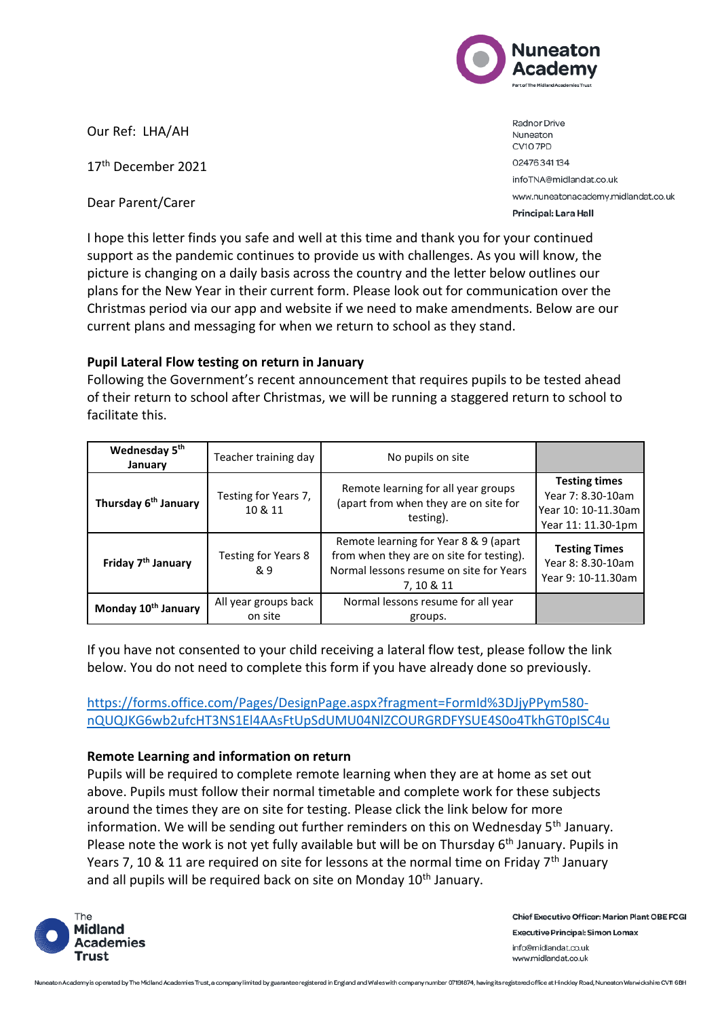

Our Ref: LHA/AH

17th December 2021

Dear Parent/Carer

Radnor Drive Nuneaton CV10 7PD 02476341134 infoTNA@midlandat.co.uk www.nuneatonacademy.midlandat.co.uk Principal: Lara Hall

I hope this letter finds you safe and well at this time and thank you for your continued support as the pandemic continues to provide us with challenges. As you will know, the picture is changing on a daily basis across the country and the letter below outlines our plans for the New Year in their current form. Please look out for communication over the Christmas period via our app and website if we need to make amendments. Below are our current plans and messaging for when we return to school as they stand.

## **Pupil Lateral Flow testing on return in January**

Following the Government's recent announcement that requires pupils to be tested ahead of their return to school after Christmas, we will be running a staggered return to school to facilitate this.

| Wednesday 5 <sup>th</sup><br>January | Teacher training day            | No pupils on site                                                                                                                          |                                                                                        |
|--------------------------------------|---------------------------------|--------------------------------------------------------------------------------------------------------------------------------------------|----------------------------------------------------------------------------------------|
| Thursday 6 <sup>th</sup> January     | Testing for Years 7,<br>10 & 11 | Remote learning for all year groups<br>(apart from when they are on site for<br>testing).                                                  | <b>Testing times</b><br>Year 7: 8.30-10am<br>Year 10: 10-11.30am<br>Year 11: 11.30-1pm |
| Friday 7 <sup>th</sup> January       | Testing for Years 8<br>& 9      | Remote learning for Year 8 & 9 (apart<br>from when they are on site for testing).<br>Normal lessons resume on site for Years<br>7, 10 & 11 | <b>Testing Times</b><br>Year 8: 8.30-10am<br>Year 9: 10-11.30am                        |
| Monday 10 <sup>th</sup> January      | All year groups back<br>on site | Normal lessons resume for all year<br>groups.                                                                                              |                                                                                        |

If you have not consented to your child receiving a lateral flow test, please follow the link below. You do not need to complete this form if you have already done so previously.

[https://forms.office.com/Pages/DesignPage.aspx?fragment=FormId%3DJjyPPym580](https://forms.office.com/Pages/DesignPage.aspx?fragment=FormId%3DJjyPPym580-nQUQJKG6wb2ufcHT3NS1El4AAsFtUpSdUMU04NlZCOURGRDFYSUE4S0o4TkhGT0pISC4u) [nQUQJKG6wb2ufcHT3NS1El4AAsFtUpSdUMU04NlZCOURGRDFYSUE4S0o4TkhGT0pISC4u](https://forms.office.com/Pages/DesignPage.aspx?fragment=FormId%3DJjyPPym580-nQUQJKG6wb2ufcHT3NS1El4AAsFtUpSdUMU04NlZCOURGRDFYSUE4S0o4TkhGT0pISC4u)

## **Remote Learning and information on return**

Pupils will be required to complete remote learning when they are at home as set out above. Pupils must follow their normal timetable and complete work for these subjects around the times they are on site for testing. Please click the link below for more information. We will be sending out further reminders on this on Wednesday  $5<sup>th</sup>$  January. Please note the work is not yet fully available but will be on Thursday 6<sup>th</sup> January. Pupils in Years 7, 10 & 11 are required on site for lessons at the normal time on Friday  $7<sup>th</sup>$  January and all pupils will be required back on site on Monday 10<sup>th</sup> January.



Chief Executive Officer: Marion Plant OBE FCGI **Executive Principal: Simon Lomax** info@midlandat.co.uk www.midlandat.co.uk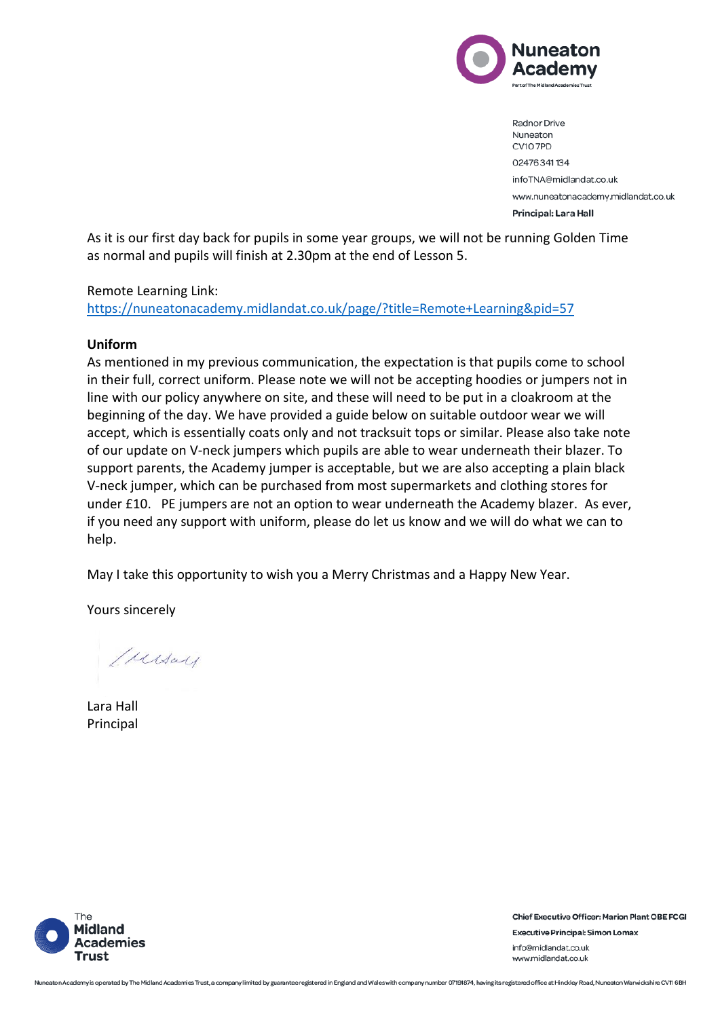

Radnor Drive Nuneaton CV10 7PD 02476341134 infoTNA@midlandat.co.uk www.nuneatonacademy.midlandat.co.uk Principal: Lara Hall

As it is our first day back for pupils in some year groups, we will not be running Golden Time as normal and pupils will finish at 2.30pm at the end of Lesson 5.

## Remote Learning Link:

<https://nuneatonacademy.midlandat.co.uk/page/?title=Remote+Learning&pid=57>

## **Uniform**

As mentioned in my previous communication, the expectation is that pupils come to school in their full, correct uniform. Please note we will not be accepting hoodies or jumpers not in line with our policy anywhere on site, and these will need to be put in a cloakroom at the beginning of the day. We have provided a guide below on suitable outdoor wear we will accept, which is essentially coats only and not tracksuit tops or similar. Please also take note of our update on V-neck jumpers which pupils are able to wear underneath their blazer. To support parents, the Academy jumper is acceptable, but we are also accepting a plain black V-neck jumper, which can be purchased from most supermarkets and clothing stores for under £10. PE jumpers are not an option to wear underneath the Academy blazer. As ever, if you need any support with uniform, please do let us know and we will do what we can to help.

May I take this opportunity to wish you a Merry Christmas and a Happy New Year.

Yours sincerely

Mersay

Lara Hall Principal



**Chief Executive Officer: Marion Plant OBE FCGI Executive Principal: Simon Lomax** info@midlandat.co.uk www.midlandat.co.uk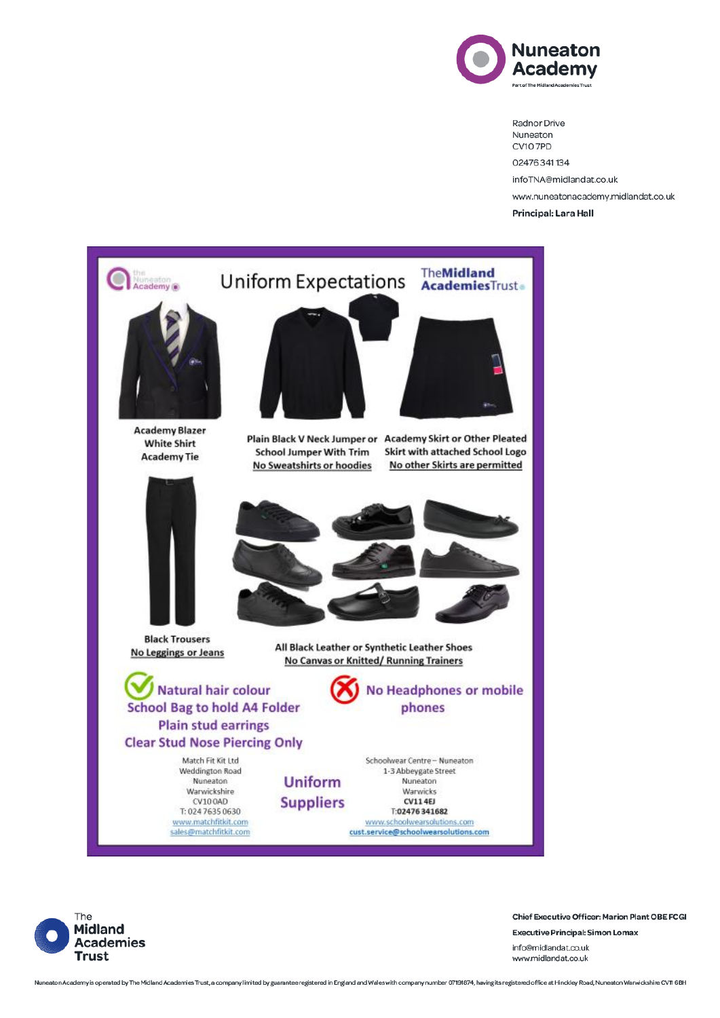

Radnor Drive Nuneaton CV107PD 02476341134 infoTNA@midlandat.co.uk www.nuneatonacademy.midlandat.co.uk Principal: Lara Hall





**Chief Executive Officer: Marion Plant OBE FCGI** 

**Executive Principal: Simon Lomax** info@midlandat.co.uk www.midlandat.co.uk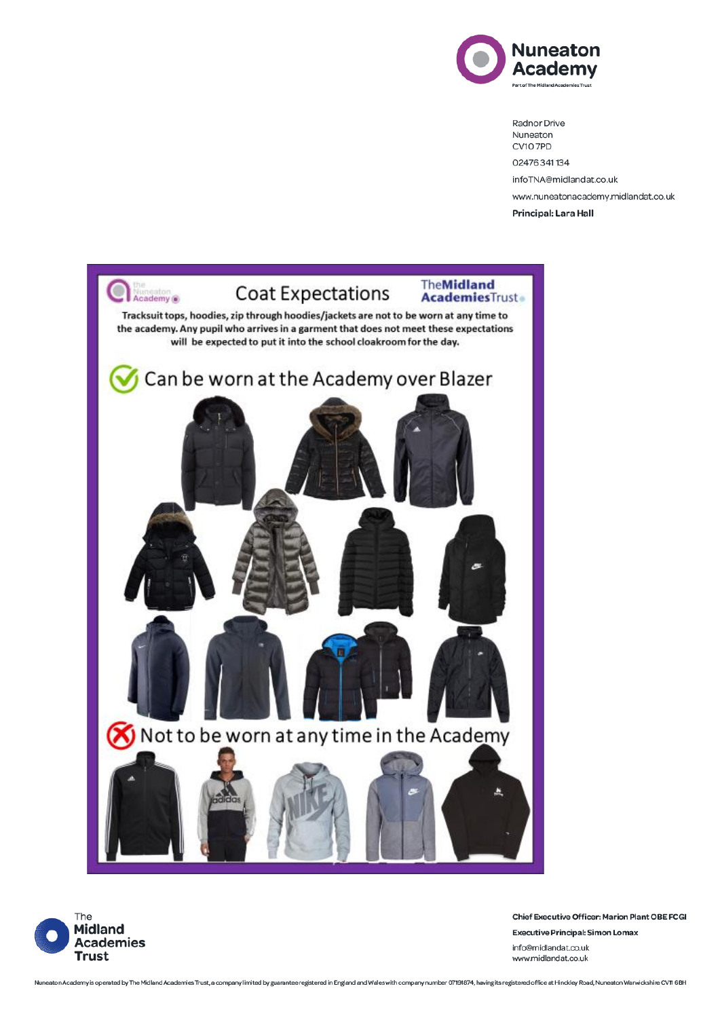

Radnor Drive Nuneaton CV107PD 02476341134 infoTNA@midlandat.co.uk www.nuneatonacademy.midlandat.co.uk Principal: Lara Hall





Chief Executive Officer: Marion Plant OBE FCGI **Executive Principal: Simon Lomax** info@midlandat.co.uk www.midlandat.co.uk